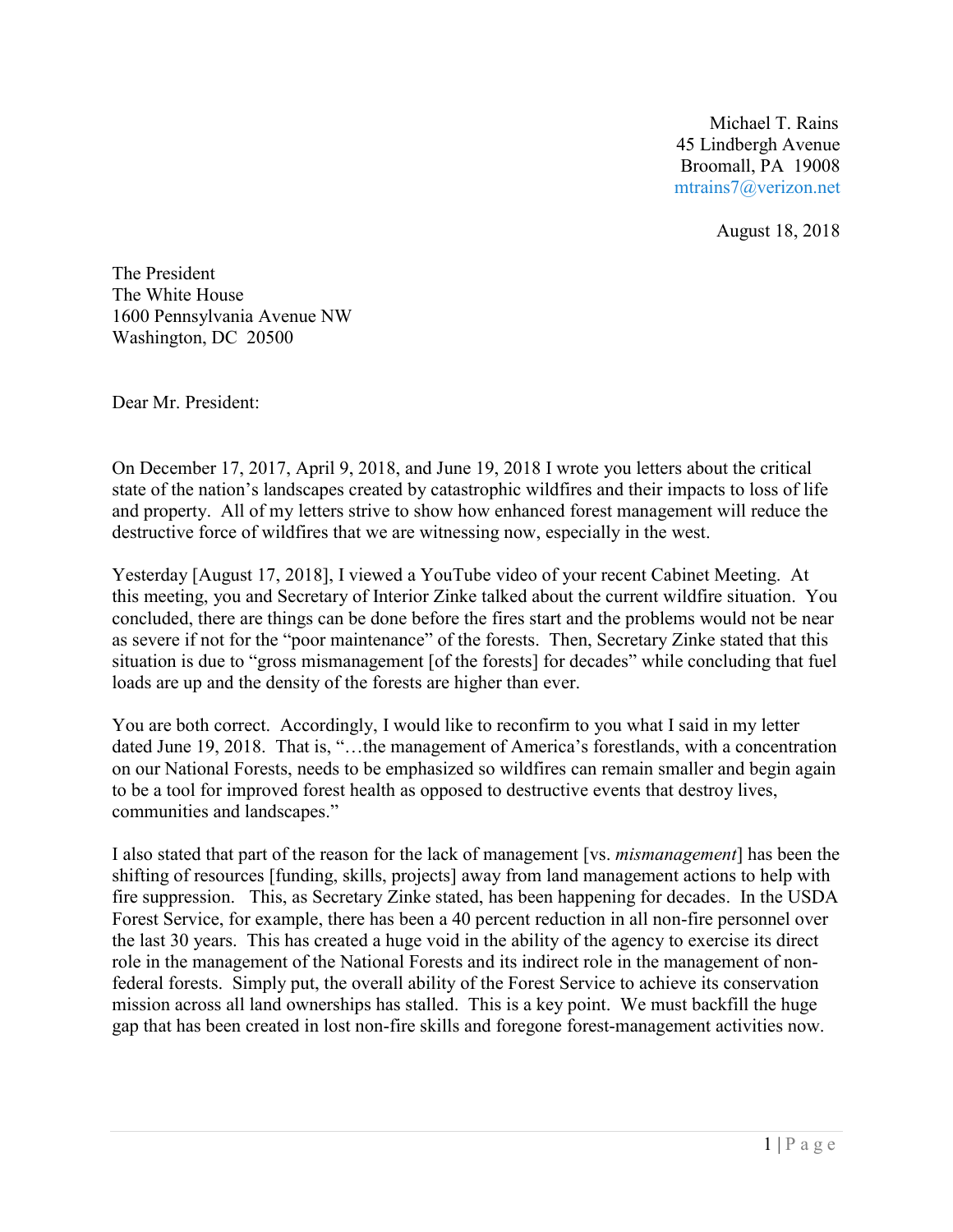Michael T. Rains 45 Lindbergh Avenue Broomall, PA 19008 [mtrains7@verizon.net](mailto:mtrains7@verizon.net)

August 18, 2018

The President The White House 1600 Pennsylvania Avenue NW Washington, DC 20500

Dear Mr. President:

On December 17, 2017, April 9, 2018, and June 19, 2018 I wrote you letters about the critical state of the nation's landscapes created by catastrophic wildfires and their impacts to loss of life and property. All of my letters strive to show how enhanced forest management will reduce the destructive force of wildfires that we are witnessing now, especially in the west.

Yesterday [August 17, 2018], I viewed a YouTube video of your recent Cabinet Meeting. At this meeting, you and Secretary of Interior Zinke talked about the current wildfire situation. You concluded, there are things can be done before the fires start and the problems would not be near as severe if not for the "poor maintenance" of the forests. Then, Secretary Zinke stated that this situation is due to "gross mismanagement [of the forests] for decades" while concluding that fuel loads are up and the density of the forests are higher than ever.

You are both correct. Accordingly, I would like to reconfirm to you what I said in my letter dated June 19, 2018. That is, "…the management of America's forestlands, with a concentration on our National Forests, needs to be emphasized so wildfires can remain smaller and begin again to be a tool for improved forest health as opposed to destructive events that destroy lives, communities and landscapes."

I also stated that part of the reason for the lack of management [vs. *mismanagement*] has been the shifting of resources [funding, skills, projects] away from land management actions to help with fire suppression. This, as Secretary Zinke stated, has been happening for decades. In the USDA Forest Service, for example, there has been a 40 percent reduction in all non-fire personnel over the last 30 years. This has created a huge void in the ability of the agency to exercise its direct role in the management of the National Forests and its indirect role in the management of nonfederal forests. Simply put, the overall ability of the Forest Service to achieve its conservation mission across all land ownerships has stalled. This is a key point. We must backfill the huge gap that has been created in lost non-fire skills and foregone forest-management activities now.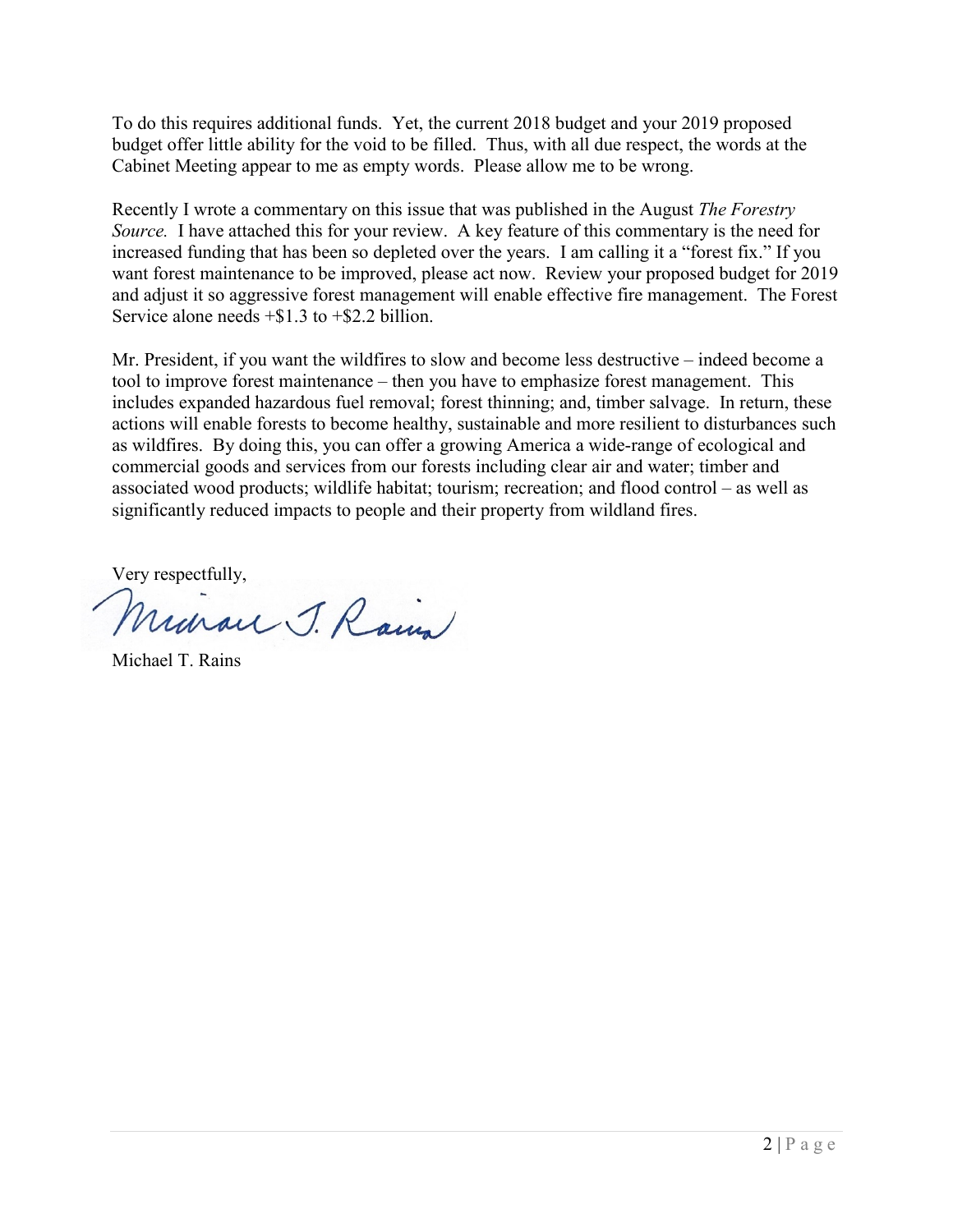To do this requires additional funds. Yet, the current 2018 budget and your 2019 proposed budget offer little ability for the void to be filled. Thus, with all due respect, the words at the Cabinet Meeting appear to me as empty words. Please allow me to be wrong.

Recently I wrote a commentary on this issue that was published in the August *The Forestry Source.* I have attached this for your review. A key feature of this commentary is the need for increased funding that has been so depleted over the years. I am calling it a "forest fix." If you want forest maintenance to be improved, please act now. Review your proposed budget for 2019 and adjust it so aggressive forest management will enable effective fire management. The Forest Service alone needs +\$1.3 to +\$2.2 billion.

Mr. President, if you want the wildfires to slow and become less destructive – indeed become a tool to improve forest maintenance – then you have to emphasize forest management. This includes expanded hazardous fuel removal; forest thinning; and, timber salvage. In return, these actions will enable forests to become healthy, sustainable and more resilient to disturbances such as wildfires. By doing this, you can offer a growing America a wide-range of ecological and commercial goods and services from our forests including clear air and water; timber and associated wood products; wildlife habitat; tourism; recreation; and flood control – as well as significantly reduced impacts to people and their property from wildland fires.

Very respectfully,

Minau J. Rain

Michael T. Rains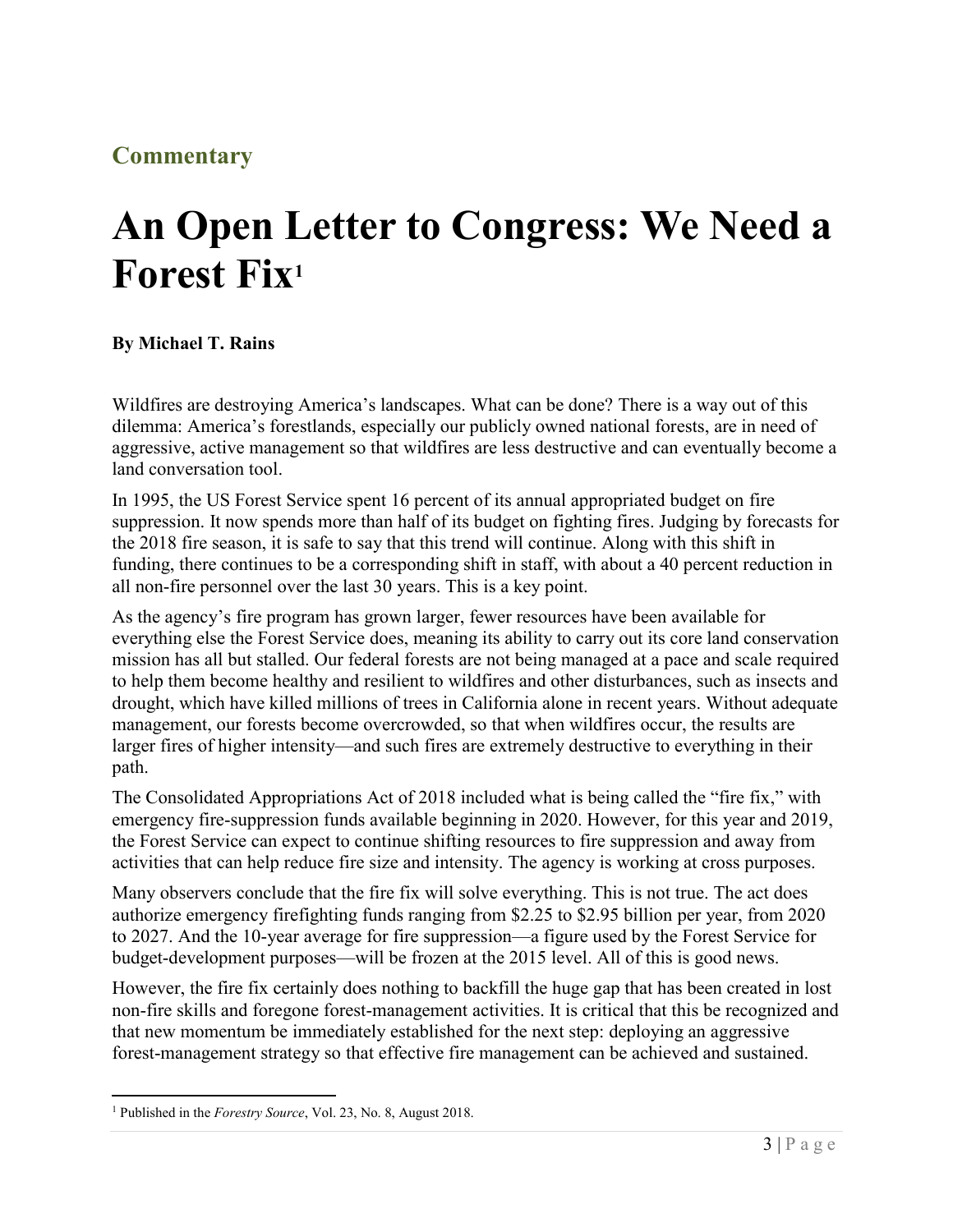## **Commentary**

## **An Open Letter to Congress: We Need a Forest Fix<sup>1</sup>**

## **By Michael T. Rains**

Wildfires are destroying America's landscapes. What can be done? There is a way out of this dilemma: America's forestlands, especially our publicly owned national forests, are in need of aggressive, active management so that wildfires are less destructive and can eventually become a land conversation tool.

In 1995, the US Forest Service spent 16 percent of its annual appropriated budget on fire suppression. It now spends more than half of its budget on fighting fires. Judging by forecasts for the 2018 fire season, it is safe to say that this trend will continue. Along with this shift in funding, there continues to be a corresponding shift in staff, with about a 40 percent reduction in all non-fire personnel over the last 30 years. This is a key point.

As the agency's fire program has grown larger, fewer resources have been available for everything else the Forest Service does, meaning its ability to carry out its core land conservation mission has all but stalled. Our federal forests are not being managed at a pace and scale required to help them become healthy and resilient to wildfires and other disturbances, such as insects and drought, which have killed millions of trees in California alone in recent years. Without adequate management, our forests become overcrowded, so that when wildfires occur, the results are larger fires of higher intensity—and such fires are extremely destructive to everything in their path.

The Consolidated Appropriations Act of 2018 included what is being called the "fire fix," with emergency fire-suppression funds available beginning in 2020. However, for this year and 2019, the Forest Service can expect to continue shifting resources to fire suppression and away from activities that can help reduce fire size and intensity. The agency is working at cross purposes.

Many observers conclude that the fire fix will solve everything. This is not true. The act does authorize emergency firefighting funds ranging from \$2.25 to \$2.95 billion per year, from 2020 to 2027. And the 10-year average for fire suppression—a figure used by the Forest Service for budget-development purposes—will be frozen at the 2015 level. All of this is good news.

However, the fire fix certainly does nothing to backfill the huge gap that has been created in lost non-fire skills and foregone forest-management activities. It is critical that this be recognized and that new momentum be immediately established for the next step: deploying an aggressive forest-management strategy so that effective fire management can be achieved and sustained.

 $\overline{a}$ 

<sup>1</sup> Published in the *Forestry Source*, Vol. 23, No. 8, August 2018.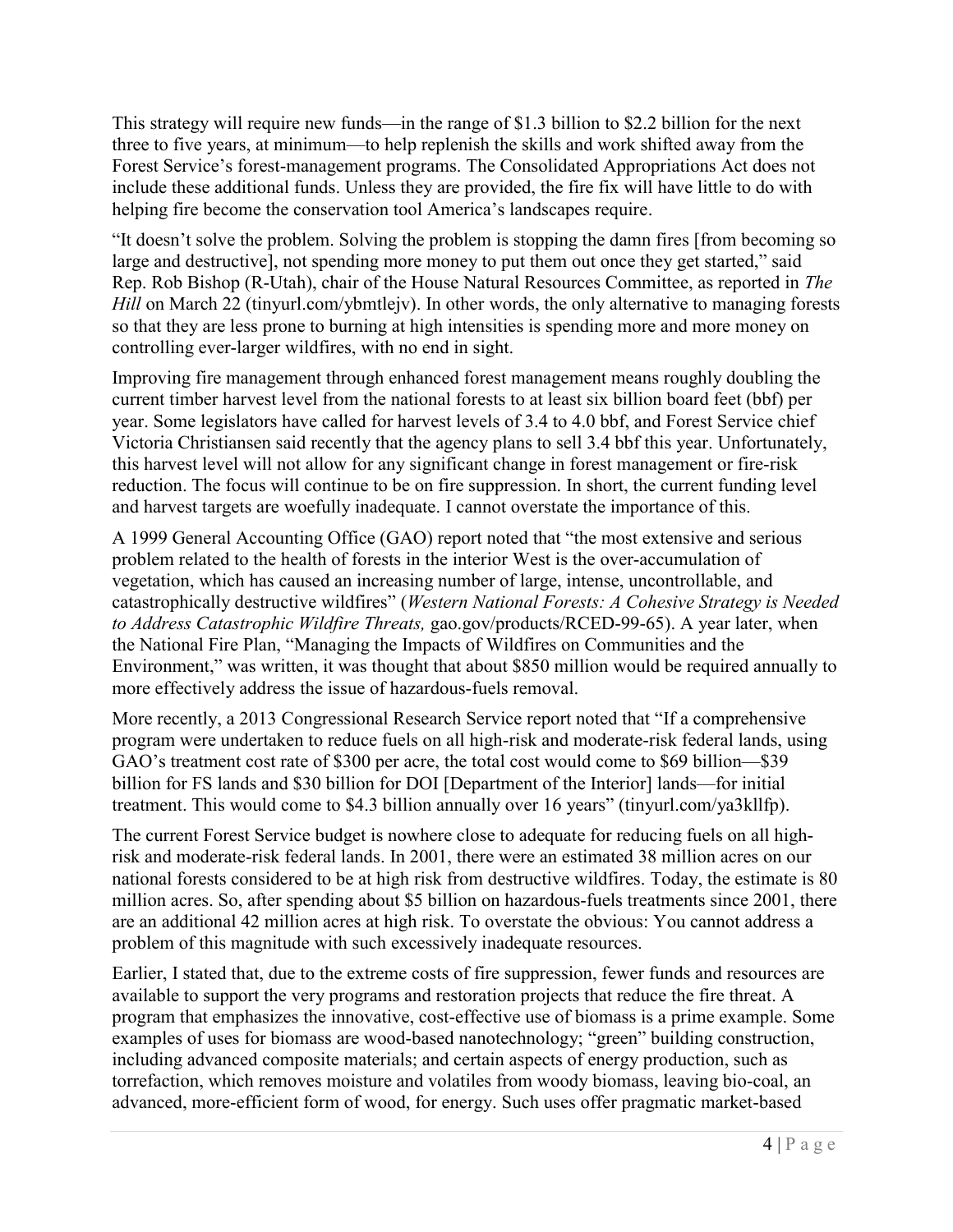This strategy will require new funds—in the range of \$1.3 billion to \$2.2 billion for the next three to five years, at minimum—to help replenish the skills and work shifted away from the Forest Service's forest-management programs. The Consolidated Appropriations Act does not include these additional funds. Unless they are provided, the fire fix will have little to do with helping fire become the conservation tool America's landscapes require.

"It doesn't solve the problem. Solving the problem is stopping the damn fires [from becoming so large and destructive], not spending more money to put them out once they get started," said Rep. Rob Bishop (R-Utah), chair of the House Natural Resources Committee, as reported in *The Hill* on March 22 (tinyurl.com/ybmtlejv). In other words, the only alternative to managing forests so that they are less prone to burning at high intensities is spending more and more money on controlling ever-larger wildfires, with no end in sight.

Improving fire management through enhanced forest management means roughly doubling the current timber harvest level from the national forests to at least six billion board feet (bbf) per year. Some legislators have called for harvest levels of 3.4 to 4.0 bbf, and Forest Service chief Victoria Christiansen said recently that the agency plans to sell 3.4 bbf this year. Unfortunately, this harvest level will not allow for any significant change in forest management or fire-risk reduction. The focus will continue to be on fire suppression. In short, the current funding level and harvest targets are woefully inadequate. I cannot overstate the importance of this.

A 1999 General Accounting Office (GAO) report noted that "the most extensive and serious problem related to the health of forests in the interior West is the over-accumulation of vegetation, which has caused an increasing number of large, intense, uncontrollable, and catastrophically destructive wildfires" (*Western National Forests: A Cohesive Strategy is Needed to Address Catastrophic Wildfire Threats,* gao.gov/products/RCED-99-65). A year later, when the National Fire Plan, "Managing the Impacts of Wildfires on Communities and the Environment," was written, it was thought that about \$850 million would be required annually to more effectively address the issue of hazardous-fuels removal.

More recently, a 2013 Congressional Research Service report noted that "If a comprehensive program were undertaken to reduce fuels on all high-risk and moderate-risk federal lands, using GAO's treatment cost rate of \$300 per acre, the total cost would come to \$69 billion—\$39 billion for FS lands and \$30 billion for DOI [Department of the Interior] lands—for initial treatment. This would come to \$4.3 billion annually over 16 years" (tinyurl.com/ya3kllfp).

The current Forest Service budget is nowhere close to adequate for reducing fuels on all highrisk and moderate-risk federal lands. In 2001, there were an estimated 38 million acres on our national forests considered to be at high risk from destructive wildfires. Today, the estimate is 80 million acres. So, after spending about \$5 billion on hazardous-fuels treatments since 2001, there are an additional 42 million acres at high risk. To overstate the obvious: You cannot address a problem of this magnitude with such excessively inadequate resources.

Earlier, I stated that, due to the extreme costs of fire suppression, fewer funds and resources are available to support the very programs and restoration projects that reduce the fire threat. A program that emphasizes the innovative, cost-effective use of biomass is a prime example. Some examples of uses for biomass are wood-based nanotechnology; "green" building construction, including advanced composite materials; and certain aspects of energy production, such as torrefaction, which removes moisture and volatiles from woody biomass, leaving bio-coal, an advanced, more-efficient form of wood, for energy. Such uses offer pragmatic market-based